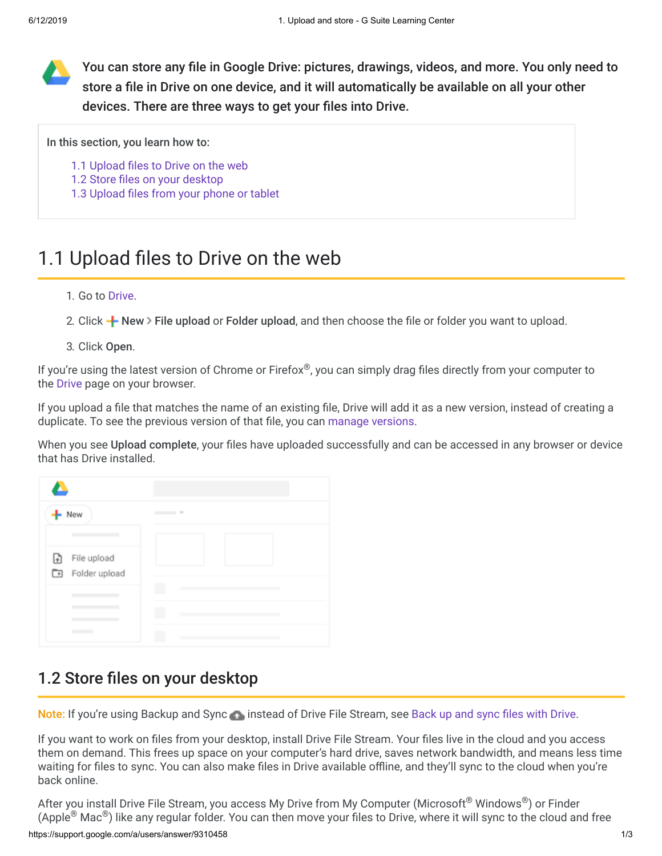You can store any file in Google Drive: pictures, drawings, videos, and more. You only need to store a file in Drive on one device, and it will automatically be available on all your other devices. There are three ways to get your files into Drive.

In this section, you learn how to:

[1.1 Upload files to Drive on the web](https://support.google.com/a/users/answer/9310458#1.1)

- [1.2 Store files on your desktop](https://support.google.com/a/users/answer/9310458#1.2)
- [1.3 Upload files from your phone or tablet](https://support.google.com/a/users/answer/9310458#1.3)

# 1.1 Upload files to Drive on the web

#### 1. Go to [Drive](https://drive.google.com/).

2. Click  $\frac{1}{2}$  New > File upload or Folder upload, and then choose the file or folder you want to upload.

3. Click Open.

If you're using the latest version of Chrome or Firefox®, you can simply drag files directly from your computer to the [Drive](https://drive.google.com/) page on your browser.

If you upload a file that matches the name of an existing file, Drive will add it as a new version, instead of creating a duplicate. To see the previous version of that file, you can [manage versions](https://support.google.com/a/users/answer/9308971).

When you see Upload complete, your files have uploaded successfully and can be accessed in any browser or device that has Drive installed.



## 1.2 Store files on your desktop

Note: If you're using Backup and Sync instead of Drive File Stream, see [Back up and sync files with Drive.](https://support.google.com/drive/answer/2374987)

If you want to work on files from your desktop, install Drive File Stream. Your files live in the cloud and you access them on demand. This frees up space on your computer's hard drive, saves network bandwidth, and means less time waiting for files to sync. You can also make files in Drive available offline, and they'll sync to the cloud when you're back online.

https://support.google.com/a/users/answer/9310458 1/3 After you install Drive File Stream, you access My Drive from My Computer (Microsoft® Windows®) or Finder (Apple $^\circledR$  Mac $^\circledR$ ) like any regular folder. You can then move your files to Drive, where it will sync to the cloud and free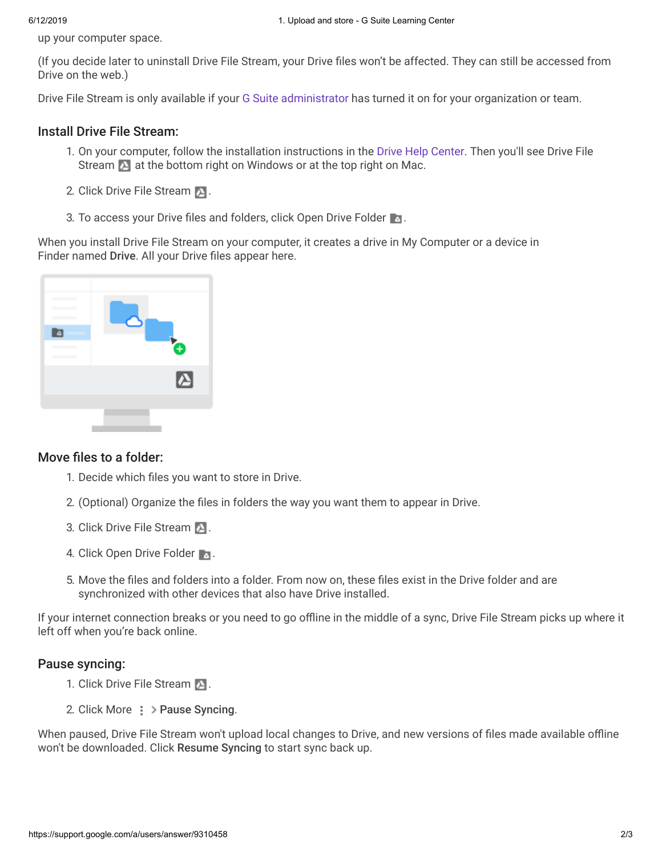up your computer space.

(If you decide later to uninstall Drive File Stream, your Drive files won't be affected. They can still be accessed from Drive on the web.)

Drive File Stream is only available if your [G Suite administrator](https://support.google.com/a/answer/6208960) has turned it on for your organization or team.

#### Install Drive File Stream:

- 1. On your computer, follow the installation instructions in the [Drive Help Center.](https://support.google.com/drive/answer/7329379) Then you'll see Drive File Stream  $\sum$  at the bottom right on Windows or at the top right on Mac.
- 2. Click Drive File Stream **.**
- 3. To access your Drive files and folders, click Open Drive Folder **1.**

When you install Drive File Stream on your computer, it creates a drive in My Computer or a device in Finder named Drive. All your Drive files appear here.



### Move files to a folder:

- 1. Decide which files you want to store in Drive.
- 2. (Optional) Organize the files in folders the way you want them to appear in Drive.
- 3. Click Drive File Stream **2.**
- 4. Click Open Drive Folder
- 5. Move the files and folders into a folder. From now on, these files exist in the Drive folder and are synchronized with other devices that also have Drive installed.

If your internet connection breaks or you need to go offline in the middle of a sync, Drive File Stream picks up where it left off when you're back online.

### Pause syncing:

- 1. Click Drive File Stream  $\blacksquare$ .
- 2. Click More  $\frac{1}{2}$  > Pause Syncing.

When paused, Drive File Stream won't upload local changes to Drive, and new versions of files made available offline won't be downloaded. Click Resume Syncing to start sync back up.